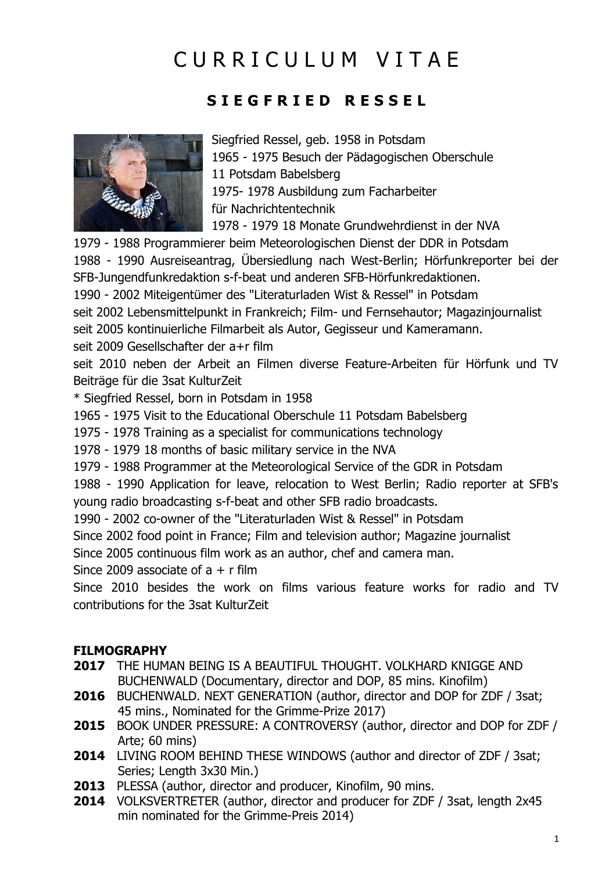# CURRICULUM VITAE

### **S I E G F R I E D R E S S E L**



Siegfried Ressel, geb. 1958 in Potsdam 1965 - 1975 Besuch der Pädagogischen Oberschule 11 Potsdam Babelsberg 1975- 1978 Ausbildung zum Facharbeiter für Nachrichtentechnik 1978 - 1979 18 Monate Grundwehrdienst in der NVA

1979 - 1988 Programmierer beim Meteorologischen Dienst der DDR in Potsdam 1988 - 1990 Ausreiseantrag, Übersiedlung nach West-Berlin; Hörfunkreporter bei der SFB-Jungendfunkredaktion s-f-beat und anderen SFB-Hörfunkredaktionen. 1990 - 2002 Miteigentümer des "Literaturladen Wist & Ressel" in Potsdam seit 2002 Lebensmittelpunkt in Frankreich; Film- und Fernsehautor; Magazinjournalist seit 2005 kontinuierliche Filmarbeit als Autor, Gegisseur und Kameramann. seit 2009 Gesellschafter der a+r film

seit 2010 neben der Arbeit an Filmen diverse Feature-Arbeiten für Hörfunk und TV Beiträge für die 3sat KulturZeit

\* Siegfried Ressel, born in Potsdam in 1958

1965 - 1975 Visit to the Educational Oberschule 11 Potsdam Babelsberg

1975 - 1978 Training as a specialist for communications technology

1978 - 1979 18 months of basic military service in the NVA

1979 - 1988 Programmer at the Meteorological Service of the GDR in Potsdam

1988 - 1990 Application for leave, relocation to West Berlin; Radio reporter at SFB's young radio broadcasting s-f-beat and other SFB radio broadcasts.

1990 - 2002 co-owner of the "Literaturladen Wist & Ressel" in Potsdam

Since 2002 food point in France; Film and television author; Magazine journalist

Since 2005 continuous film work as an author, chef and camera man.

Since 2009 associate of  $a + r$  film

Since 2010 besides the work on films various feature works for radio and TV contributions for the 3sat KulturZeit

#### **FILMOGRAPHY**

- **2017** THE HUMAN BEING IS A BEAUTIFUL THOUGHT. VOLKHARD KNIGGE AND BUCHENWALD (Documentary, director and DOP, 85 mins. Kinofilm)
- **2016** BUCHENWALD. NEXT GENERATION (author, director and DOP for ZDF / 3sat; 45 mins., Nominated for the Grimme-Prize 2017)
- **2015** BOOK UNDER PRESSURE: A CONTROVERSY (author, director and DOP for ZDF / Arte; 60 mins)
- **2014** LIVING ROOM BEHIND THESE WINDOWS (author and director of ZDF / 3sat; Series; Length 3x30 Min.)
- **2013** PLESSA (author, director and producer, Kinofilm, 90 mins.
- **2014** VOLKSVERTRETER (author, director and producer for ZDF / 3sat, length 2x45 min nominated for the Grimme-Preis 2014)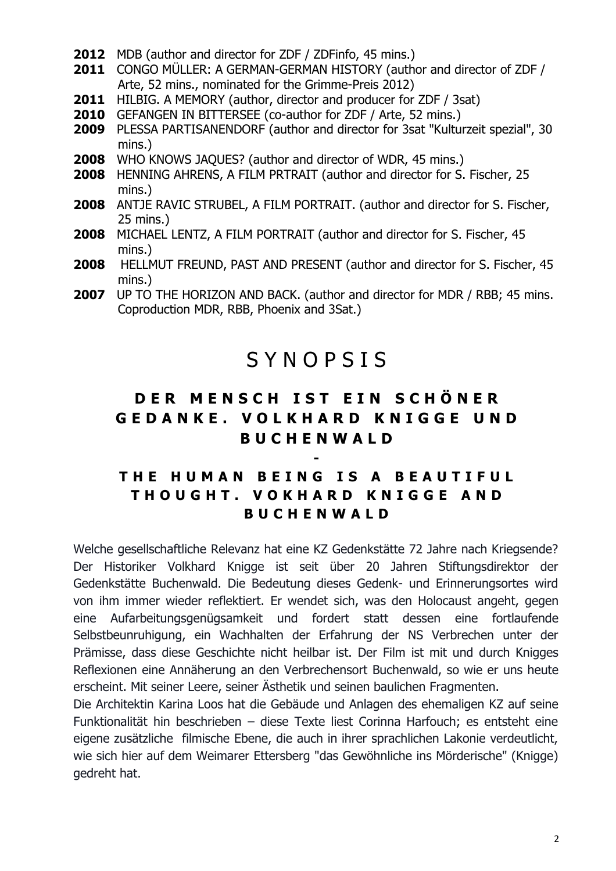- **2012** MDB (author and director for ZDF / ZDFinfo, 45 mins.)
- **2011** CONGO MÜLLER: A GERMAN-GERMAN HISTORY (author and director of ZDF / Arte, 52 mins., nominated for the Grimme-Preis 2012)
- **2011** HILBIG. A MEMORY (author, director and producer for ZDF / 3sat)
- **2010** GEFANGEN IN BITTERSEE (co-author for ZDF / Arte, 52 mins.)
- **2009** PLESSA PARTISANENDORF (author and director for 3sat "Kulturzeit spezial", 30 mins.)
- **2008** WHO KNOWS JAQUES? (author and director of WDR, 45 mins.)
- **2008** HENNING AHRENS, A FILM PRTRAIT (author and director for S. Fischer, 25 mins.)
- **2008** ANTJE RAVIC STRUBEL, A FILM PORTRAIT. (author and director for S. Fischer, 25 mins.)
- **2008** MICHAEL LENTZ, A FILM PORTRAIT (author and director for S. Fischer, 45 mins.)
- **2008** HELLMUT FREUND, PAST AND PRESENT (author and director for S. Fischer, 45 mins.)
- **2007** UP TO THE HORIZON AND BACK. (author and director for MDR / RBB; 45 mins. Coproduction MDR, RBB, Phoenix and 3Sat.)

## S Y N O P S I S

### **D E R M E N S C H I S T E I N S C H Ö N E R G E D A N K E . V O L K H A R D K N I G G E U N D B U C H E N W A L D**

### **T H E H U M A N B E I N G I S A B E A U T I F U L T H O U G H T . V O K H A R D K N I G G E A N D B U C H E N W A L D**

**-**

Welche gesellschaftliche Relevanz hat eine KZ Gedenkstätte 72 Jahre nach Kriegsende? Der Historiker Volkhard Knigge ist seit über 20 Jahren Stiftungsdirektor der Gedenkstätte Buchenwald. Die Bedeutung dieses Gedenk- und Erinnerungsortes wird von ihm immer wieder reflektiert. Er wendet sich, was den Holocaust angeht, gegen eine Aufarbeitungsgenügsamkeit und fordert statt dessen eine fortlaufende Selbstbeunruhigung, ein Wachhalten der Erfahrung der NS Verbrechen unter der Prämisse, dass diese Geschichte nicht heilbar ist. Der Film ist mit und durch Knigges Reflexionen eine Annäherung an den Verbrechensort Buchenwald, so wie er uns heute erscheint. Mit seiner Leere, seiner Ästhetik und seinen baulichen Fragmenten.

Die Architektin Karina Loos hat die Gebäude und Anlagen des ehemaligen KZ auf seine Funktionalität hin beschrieben – diese Texte liest Corinna Harfouch; es entsteht eine eigene zusätzliche filmische Ebene, die auch in ihrer sprachlichen Lakonie verdeutlicht, wie sich hier auf dem Weimarer Ettersberg "das Gewöhnliche ins Mörderische" (Knigge) gedreht hat.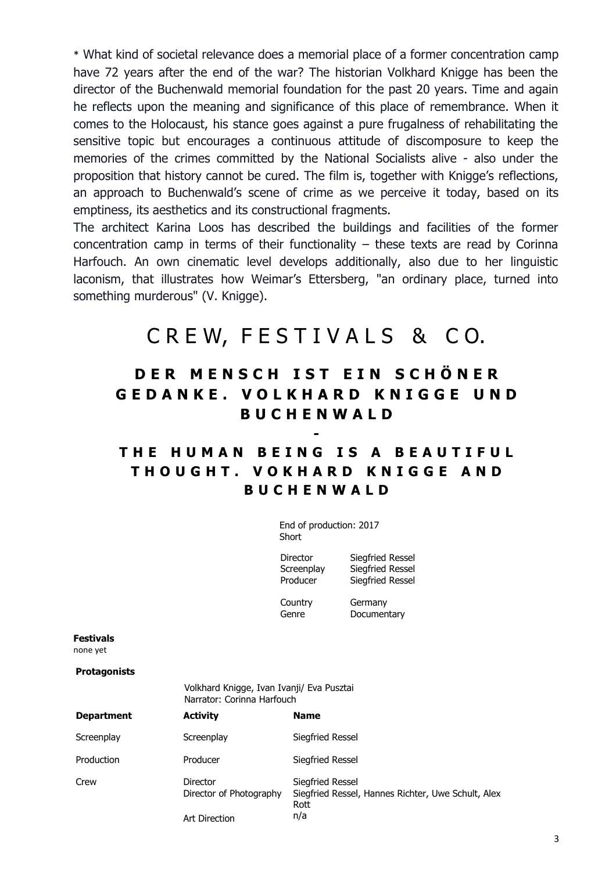\* What kind of societal relevance does a memorial place of a former concentration camp have 72 years after the end of the war? The historian Volkhard Knigge has been the director of the Buchenwald memorial foundation for the past 20 years. Time and again he reflects upon the meaning and significance of this place of remembrance. When it comes to the Holocaust, his stance goes against a pure frugalness of rehabilitating the sensitive topic but encourages a continuous attitude of discomposure to keep the memories of the crimes committed by the National Socialists alive - also under the proposition that history cannot be cured. The film is, together with Knigge's reflections, an approach to Buchenwald's scene of crime as we perceive it today, based on its emptiness, its aesthetics and its constructional fragments.

The architect Karina Loos has described the buildings and facilities of the former concentration camp in terms of their functionality – these texts are read by Corinna Harfouch. An own cinematic level develops additionally, also due to her linguistic laconism, that illustrates how Weimar's Ettersberg, "an ordinary place, turned into something murderous" (V. Knigge).

## CREW, FESTIVALS & CO.

### **D E R M E N S C H I S T E I N S C H Ö N E R G E D A N K E . V O L K H A R D K N I G G E U N D B U C H E N W A L D**

### **T H E H U M A N B E I N G I S A B E A U T I F U L T H O U G H T . V O K H A R D K N I G G E A N D B U C H E N W A L D**

**-**

End of production: 2017 Short

Director Siegfried Ressel

Screenplay Siegfried Ressel Producer Siegfried Ressel

Country Germany Genre Documentary

**Festivals**

none yet

**Protagonists**

|            | Volkhard Knigge, Ivan Ivanji/ Eva Pusztai<br>Narrator: Corinna Harfouch |                                                                                |
|------------|-------------------------------------------------------------------------|--------------------------------------------------------------------------------|
| Department | <b>Activity</b>                                                         | <b>Name</b>                                                                    |
| Screenplay | Screenplay                                                              | Siegfried Ressel                                                               |
| Production | Producer                                                                | Siegfried Ressel                                                               |
| Crew       | Director<br>Director of Photography                                     | Siegfried Ressel<br>Siegfried Ressel, Hannes Richter, Uwe Schult, Alex<br>Rott |

n/a

Art Direction